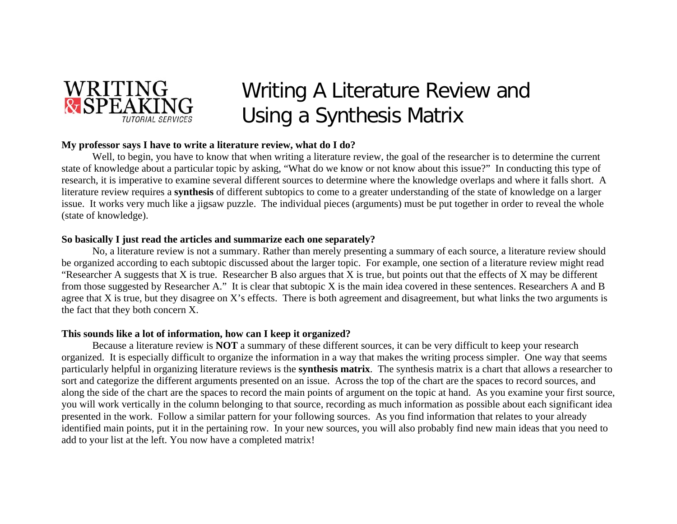

# Writing A Literature Review and Using a Synthesis Matrix

## **My professor says I have to write a literature review, what do I do?**

Well, to begin, you have to know that when writing a literature review, the goal of the researcher is to determine the current state of knowledge about a particular topic by asking, "What do we know or not know about this issue?" In conducting this type of research, it is imperative to examine several different sources to determine where the knowledge overlaps and where it falls short. A literature review requires a **synthesis** of different subtopics to come to a greater understanding of the state of knowledge on a larger issue. It works very much like a jigsaw puzzle. The individual pieces (arguments) must be put together in order to reveal the whole (state of knowledge).

## **So basically I just read the articles and summarize each one separately?**

No, a literature review is not a summary. Rather than merely presenting a summary of each source, a literature review should be organized according to each subtopic discussed about the larger topic. For example, one section of a literature review might read "Researcher A suggests that X is true. Researcher B also argues that X is true, but points out that the effects of X may be different from those suggested by Researcher A." It is clear that subtopic X is the main idea covered in these sentences. Researchers A and B agree that X is true, but they disagree on X's effects. There is both agreement and disagreement, but what links the two arguments is the fact that they both concern X.

### **This sounds like a lot of information, how can I keep it organized?**

Because a literature review is **NOT** a summary of these different sources, it can be very difficult to keep your research organized. It is especially difficult to organize the information in a way that makes the writing process simpler. One way that seems particularly helpful in organizing literature reviews is the **synthesis matrix**. The synthesis matrix is a chart that allows a researcher to sort and categorize the different arguments presented on an issue. Across the top of the chart are the spaces to record sources, and along the side of the chart are the spaces to record the main points of argument on the topic at hand. As you examine your first source, you will work vertically in the column belonging to that source, recording as much information as possible about each significant idea presented in the work. Follow a similar pattern for your following sources. As you find information that relates to your already identified main points, put it in the pertaining row. In your new sources, you will also probably find new main ideas that you need to add to your list at the left. You now have a completed matrix!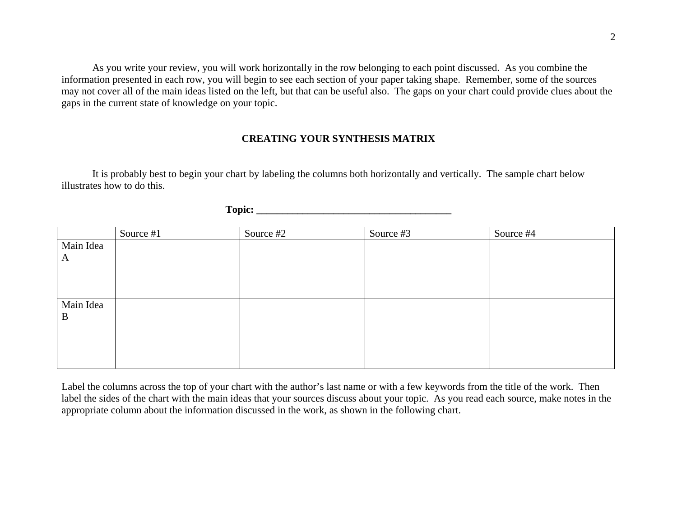As you write your review, you will work horizontally in the row belonging to each point discussed. As you combine the information presented in each row, you will begin to see each section of your paper taking shape. Remember, some of the sources may not cover all of the main ideas listed on the left, but that can be useful also. The gaps on your chart could provide clues about the gaps in the current state of knowledge on your topic.

## **CREATING YOUR SYNTHESIS MATRIX**

 It is probably best to begin your chart by labeling the columns both horizontally and vertically. The sample chart below illustrates how to do this.

| 'onic:<br>$\sim$ $\sim$ $\sim$ $\sim$ |  |
|---------------------------------------|--|
|                                       |  |

|           | Source #1 | Source #2 | Source #3 | Source #4 |
|-----------|-----------|-----------|-----------|-----------|
| Main Idea |           |           |           |           |
| A         |           |           |           |           |
|           |           |           |           |           |
|           |           |           |           |           |
|           |           |           |           |           |
| Main Idea |           |           |           |           |
| B         |           |           |           |           |
|           |           |           |           |           |
|           |           |           |           |           |
|           |           |           |           |           |
|           |           |           |           |           |

Label the columns across the top of your chart with the author's last name or with a few keywords from the title of the work. Then label the sides of the chart with the main ideas that your sources discuss about your topic. As you read each source, make notes in the appropriate column about the information discussed in the work, as shown in the following chart.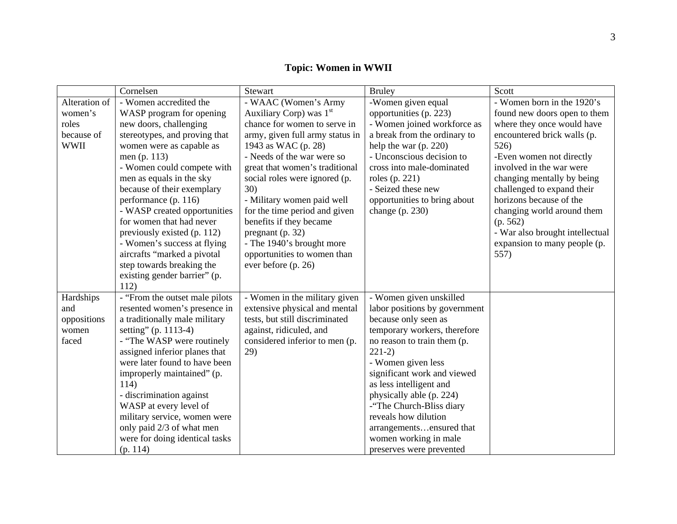|               | Cornelsen                       | Stewart                         | <b>Bruley</b>                 | Scott                           |
|---------------|---------------------------------|---------------------------------|-------------------------------|---------------------------------|
| Alteration of | - Women accredited the          | - WAAC (Women's Army            | -Women given equal            | - Women born in the 1920's      |
| women's       | WASP program for opening        | Auxiliary Corp) was $1st$       | opportunities (p. 223)        | found new doors open to them    |
| roles         | new doors, challenging          | chance for women to serve in    | - Women joined workforce as   | where they once would have      |
| because of    | stereotypes, and proving that   | army, given full army status in | a break from the ordinary to  | encountered brick walls (p.     |
| <b>WWII</b>   | women were as capable as        | 1943 as WAC (p. 28)             | help the war $(p. 220)$       | 526)                            |
|               | men (p. 113)                    | - Needs of the war were so      | - Unconscious decision to     | -Even women not directly        |
|               | - Women could compete with      | great that women's traditional  | cross into male-dominated     | involved in the war were        |
|               | men as equals in the sky        | social roles were ignored (p.   | roles (p. 221)                | changing mentally by being      |
|               | because of their exemplary      | 30)                             | - Seized these new            | challenged to expand their      |
|               | performance (p. 116)            | - Military women paid well      | opportunities to bring about  | horizons because of the         |
|               | - WASP created opportunities    | for the time period and given   | change $(p. 230)$             | changing world around them      |
|               | for women that had never        | benefits if they became         |                               | (p. 562)                        |
|               | previously existed (p. 112)     | pregnant $(p. 32)$              |                               | - War also brought intellectual |
|               | - Women's success at flying     | - The 1940's brought more       |                               | expansion to many people (p.    |
|               | aircrafts "marked a pivotal     | opportunities to women than     |                               | 557)                            |
|               | step towards breaking the       | ever before (p. 26)             |                               |                                 |
|               | existing gender barrier" (p.    |                                 |                               |                                 |
|               | 112)                            |                                 |                               |                                 |
| Hardships     | - "From the outset male pilots" | - Women in the military given   | - Women given unskilled       |                                 |
| and           | resented women's presence in    | extensive physical and mental   | labor positions by government |                                 |
| oppositions   | a traditionally male military   | tests, but still discriminated  | because only seen as          |                                 |
| women         | setting" (p. 1113-4)            | against, ridiculed, and         | temporary workers, therefore  |                                 |
| faced         | - "The WASP were routinely"     | considered inferior to men (p.  | no reason to train them (p.   |                                 |
|               | assigned inferior planes that   | 29)                             | $221-2)$                      |                                 |
|               | were later found to have been   |                                 | - Women given less            |                                 |
|               | improperly maintained" (p.      |                                 | significant work and viewed   |                                 |
|               | 114)                            |                                 | as less intelligent and       |                                 |
|               | - discrimination against        |                                 | physically able (p. 224)      |                                 |
|               | WASP at every level of          |                                 | -"The Church-Bliss diary      |                                 |
|               | military service, women were    |                                 | reveals how dilution          |                                 |
|               | only paid 2/3 of what men       |                                 | arrangementsensured that      |                                 |
|               | were for doing identical tasks  |                                 | women working in male         |                                 |
|               | (p. 114)                        |                                 | preserves were prevented      |                                 |

**Topic: Women in WWII**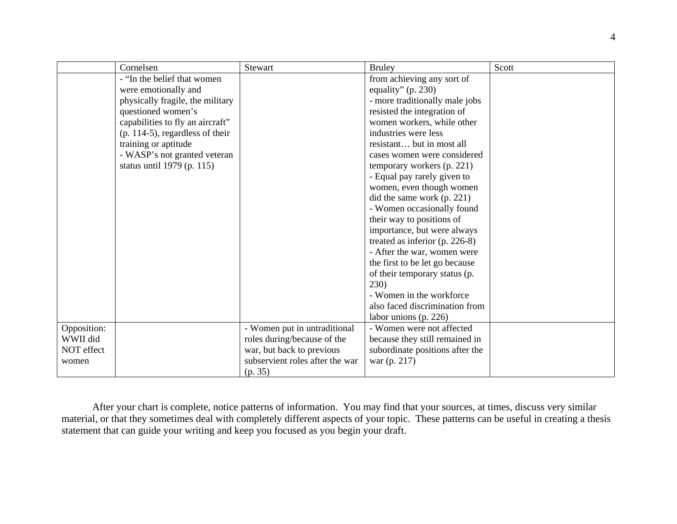|             | Cornelsen                          | Stewart                         | <b>Bruley</b>                    | Scott |
|-------------|------------------------------------|---------------------------------|----------------------------------|-------|
|             | - "In the belief that women"       |                                 | from achieving any sort of       |       |
|             | were emotionally and               |                                 | equality" $(p. 230)$             |       |
|             | physically fragile, the military   |                                 | - more traditionally male jobs   |       |
|             | questioned women's                 |                                 | resisted the integration of      |       |
|             | capabilities to fly an aircraft"   |                                 | women workers, while other       |       |
|             | $(p. 114-5)$ , regardless of their |                                 | industries were less             |       |
|             | training or aptitude               |                                 | resistant but in most all        |       |
|             | - WASP's not granted veteran       |                                 | cases women were considered      |       |
|             | status until 1979 (p. 115)         |                                 | temporary workers (p. 221)       |       |
|             |                                    |                                 | - Equal pay rarely given to      |       |
|             |                                    |                                 | women, even though women         |       |
|             |                                    |                                 | did the same work (p. 221)       |       |
|             |                                    |                                 | - Women occasionally found       |       |
|             |                                    |                                 | their way to positions of        |       |
|             |                                    |                                 | importance, but were always      |       |
|             |                                    |                                 | treated as inferior $(p. 226-8)$ |       |
|             |                                    |                                 | - After the war, women were      |       |
|             |                                    |                                 | the first to be let go because   |       |
|             |                                    |                                 | of their temporary status (p.    |       |
|             |                                    |                                 | 230)                             |       |
|             |                                    |                                 | - Women in the workforce         |       |
|             |                                    |                                 | also faced discrimination from   |       |
|             |                                    |                                 | labor unions (p. 226)            |       |
| Opposition: |                                    | - Women put in untraditional    | - Women were not affected        |       |
| WWII did    |                                    | roles during/because of the     | because they still remained in   |       |
| NOT effect  |                                    | war, but back to previous       | subordinate positions after the  |       |
| women       |                                    | subservient roles after the war | war (p. 217)                     |       |
|             |                                    | (p. 35)                         |                                  |       |

After your chart is complete, notice patterns of information. You may find that your sources, at times, discuss very similar material, or that they sometimes deal with completely different aspects of your topic. These patterns can be useful in creating a thesis statement that can guide your writing and keep you focused as you begin your draft.